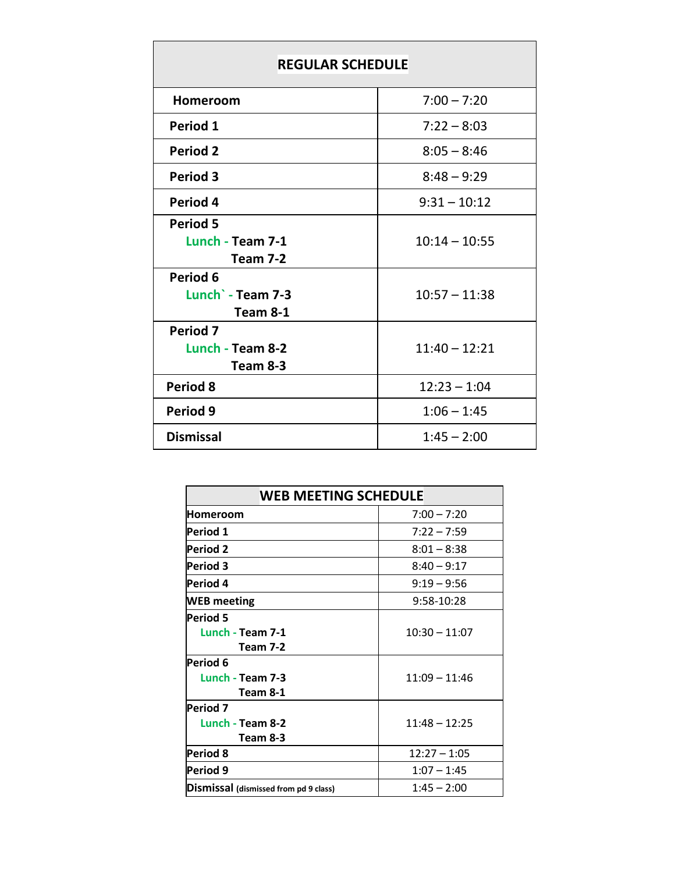| <b>REGULAR SCHEDULE</b>                         |                 |  |  |  |
|-------------------------------------------------|-----------------|--|--|--|
| Homeroom                                        | $7:00 - 7:20$   |  |  |  |
| Period 1                                        | $7:22 - 8:03$   |  |  |  |
| <b>Period 2</b>                                 | $8:05 - 8:46$   |  |  |  |
| <b>Period 3</b>                                 | $8:48 - 9:29$   |  |  |  |
| Period 4                                        | $9:31 - 10:12$  |  |  |  |
| <b>Period 5</b><br>Lunch - Team 7-1<br>Team 7-2 | $10:14 - 10:55$ |  |  |  |
| Period 6<br>Lunch - Team 7-3<br>Team 8-1        | $10:57 - 11:38$ |  |  |  |
| <b>Period 7</b><br>Lunch - Team 8-2<br>Team 8-3 | $11:40 - 12:21$ |  |  |  |
| <b>Period 8</b>                                 | $12:23 - 1:04$  |  |  |  |
| Period 9                                        | $1:06 - 1:45$   |  |  |  |
| <b>Dismissal</b>                                | $1:45 - 2:00$   |  |  |  |

| <b>WEB MEETING SCHEDULE</b>           |                 |  |  |
|---------------------------------------|-----------------|--|--|
| Homeroom                              | $7:00 - 7:20$   |  |  |
| Period 1                              | $7:22 - 7:59$   |  |  |
| <b>Period 2</b>                       | $8:01 - 8:38$   |  |  |
| <b>Period 3</b>                       | $8:40 - 9:17$   |  |  |
| Period 4                              | $9:19 - 9:56$   |  |  |
| <b>WEB</b> meeting                    | 9:58-10:28      |  |  |
| <b>Period 5</b>                       |                 |  |  |
| Lunch - Team 7-1                      | $10:30 - 11:07$ |  |  |
| <b>Team 7-2</b>                       |                 |  |  |
| Period 6                              |                 |  |  |
| Lunch - Team 7-3                      | $11:09 - 11:46$ |  |  |
| Team 8-1                              |                 |  |  |
| Period 7                              |                 |  |  |
| Lunch - Team 8-2                      | $11:48 - 12:25$ |  |  |
| Team 8-3                              |                 |  |  |
| Period 8                              | $12:27 - 1:05$  |  |  |
| Period 9                              | $1:07 - 1:45$   |  |  |
| Dismissal (dismissed from pd 9 class) | $1:45 - 2:00$   |  |  |